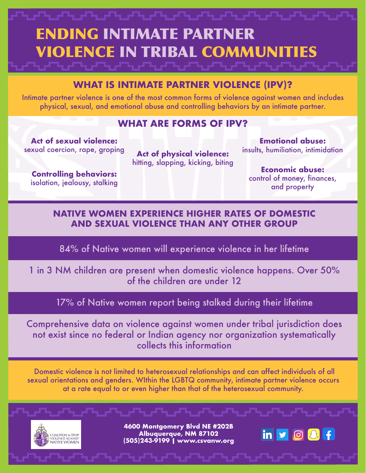## ENDING INTIMATE PARTNER VIOLENCE IN TRIBAL COMMUNITIES

## **WHAT IS INTIMATE PARTNER VIOLENCE (IPV)?**

Intimate partner violence is one of the most common forms of violence against women and includes physical, sexual, and emotional abuse and controlling behaviors by an intimate partner.

## **WHAT ARE FORMS OF IPV?**

**Act of sexual violence:**  sexual coercion, rape, groping

**Act of physical violence:**  hitting, slapping, kicking, biting

**Controlling behaviors:**  isolation, jealousy, stalking

**Emotional abuse:**  insults, humiliation, intimidation

**Economic abuse:**  control of money, finances, and property

## **NATIVE WOMEN EXPERIENCE HIGHER RATES OF DOMESTIC AND SEXUAL VIOLENCE THAN ANY OTHER GROUP**

84% of Native women will experience violence in her lifetime

1 in 3 NM children are present when domestic violence happens. Over 50% of the children are under 12

17% of Native women report being stalked during their lifetime

Comprehensive data on violence against women under tribal jurisdiction does not exist since no federal or Indian agency nor organization systematically collects this information

 Domestic violence is not limited to heterosexual relationships and can affect individuals of all sexual orientations and genders. WIthin the LGBTQ community, intimate partner violence occurs at a rate equal to or even higher than that of the heterosexual community.



**4600 Montgomery Blvd NE #202B Albuquerque, NM 87102 (505)243-9199 | www.csvanw.org**